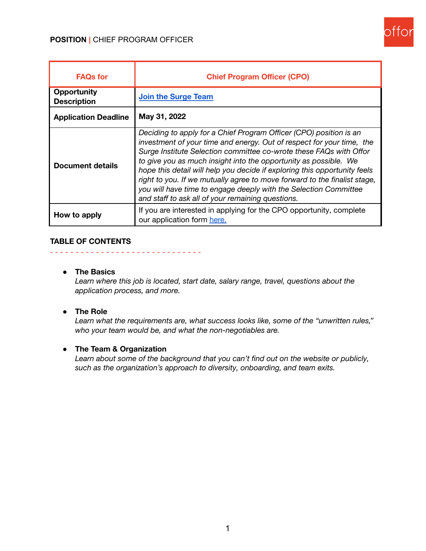

| <b>FAQs for</b>                          | <b>Chief Program Officer (CPO)</b>                                                                                                                                                                                                                                                                                                                                                                                                                                                                                                                                       |
|------------------------------------------|--------------------------------------------------------------------------------------------------------------------------------------------------------------------------------------------------------------------------------------------------------------------------------------------------------------------------------------------------------------------------------------------------------------------------------------------------------------------------------------------------------------------------------------------------------------------------|
| <b>Opportunity</b><br><b>Description</b> | Join the Surge Team                                                                                                                                                                                                                                                                                                                                                                                                                                                                                                                                                      |
| <b>Application Deadline</b>              | May 31, 2022                                                                                                                                                                                                                                                                                                                                                                                                                                                                                                                                                             |
| Document details                         | Deciding to apply for a Chief Program Officer (CPO) position is an<br>investment of your time and energy. Out of respect for your time, the<br>Surge Institute Selection committee co-wrote these FAQs with Offor<br>to give you as much insight into the opportunity as possible. We<br>hope this detail will help you decide if exploring this opportunity feels<br>right to you. If we mutually agree to move forward to the finalist stage,<br>you will have time to engage deeply with the Selection Committee<br>and staff to ask all of your remaining questions. |
| How to apply                             | If you are interested in applying for the CPO opportunity, complete<br>our application form here.                                                                                                                                                                                                                                                                                                                                                                                                                                                                        |

#### **TABLE OF CONTENTS**

#### **● The Basics**

*Learn where this job is located, start date, salary range, travel, questions about the application process, and more.*

#### **● The Role**

*Learn what the requirements are, what success looks like, some of the "unwritten rules," who your team would be, and what the non-negotiables are.*

### **● The Team & Organization**

- - - - - - - - - - - - - - - - - - - - - - - - - - - - - -

*Learn about some of the background that you can't find out on the website or publicly, such as the organization's approach to diversity, onboarding, and team exits.*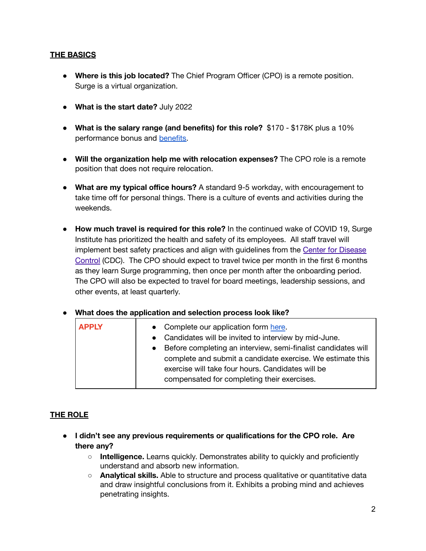## **THE BASICS**

- **● Where is this job located?** The Chief Program Officer (CPO) is a remote position. Surge is a virtual organization.
- **● What is the start date?** July 2022
- **● What is the salary range (and benefits) for this role?** \$170 \$178K plus a 10% performance bonus and [benefits.](https://drive.google.com/open?id=1Odv2_AcWr-p2LR-8aqA7kgj0QfGys2wG)
- **● Will the organization help me with relocation expenses?** The CPO role is a remote position that does not require relocation.
- **● What are my typical office hours?** A standard 9-5 workday, with encouragement to take time off for personal things. There is a culture of events and activities during the weekends.
- **● How much travel is required for this role?** In the continued wake of COVID 19, Surge Institute has prioritized the health and safety of its employees. All staff travel will implement best safety practices and align with guidelines from the Center for [Disease](https://www.cdc.gov/coronavirus/2019-ncov/index.html) [Control](https://www.cdc.gov/coronavirus/2019-ncov/index.html) (CDC). The CPO should expect to travel twice per month in the first 6 months as they learn Surge programming, then once per month after the onboarding period. The CPO will also be expected to travel for board meetings, leadership sessions, and other events, at least quarterly.

# ● **What does the application and selection process look like?**

| <b>APPLY</b> | • Complete our application form here.<br>• Candidates will be invited to interview by mid-June.<br>• Before completing an interview, semi-finalist candidates will<br>complete and submit a candidate exercise. We estimate this<br>exercise will take four hours. Candidates will be<br>compensated for completing their exercises. |
|--------------|--------------------------------------------------------------------------------------------------------------------------------------------------------------------------------------------------------------------------------------------------------------------------------------------------------------------------------------|
|--------------|--------------------------------------------------------------------------------------------------------------------------------------------------------------------------------------------------------------------------------------------------------------------------------------------------------------------------------------|

### **THE ROLE**

- **● I didn't see any previous requirements or qualifications for the CPO role. Are there any?**
	- **Intelligence.** Learns quickly. Demonstrates ability to quickly and proficiently understand and absorb new information.
	- **Analytical skills.** Able to structure and process qualitative or quantitative data and draw insightful conclusions from it. Exhibits a probing mind and achieves penetrating insights.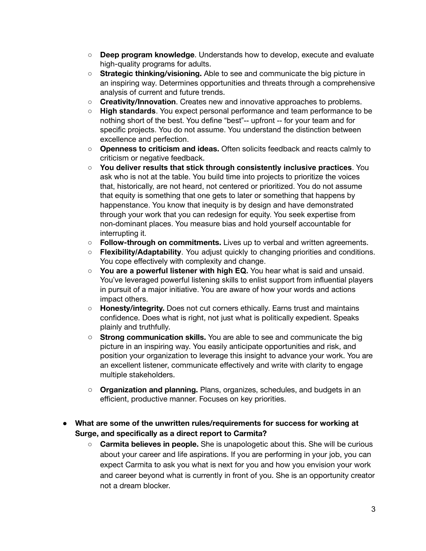- **Deep program knowledge**. Understands how to develop, execute and evaluate high-quality programs for adults.
- **Strategic thinking/visioning.** Able to see and communicate the big picture in an inspiring way. Determines opportunities and threats through a comprehensive analysis of current and future trends.
- **Creativity/Innovation**. Creates new and innovative approaches to problems.
- **○ High standards**. You expect personal performance and team performance to be nothing short of the best. You define "best"-- upfront -- for your team and for specific projects. You do not assume. You understand the distinction between excellence and perfection.
- **Openness to criticism and ideas.** Often solicits feedback and reacts calmly to criticism or negative feedback.
- **You deliver results that stick through consistently inclusive practices**. You ask who is not at the table. You build time into projects to prioritize the voices that, historically, are not heard, not centered or prioritized. You do not assume that equity is something that one gets to later or something that happens by happenstance. You know that inequity is by design and have demonstrated through your work that you can redesign for equity. You seek expertise from non-dominant places. You measure bias and hold yourself accountable for interrupting it.
- **Follow-through on commitments.** Lives up to verbal and written agreements.
- **Flexibility/Adaptability**. You adjust quickly to changing priorities and conditions. You cope effectively with complexity and change.
- **You are a powerful listener with high EQ.** You hear what is said and unsaid. You've leveraged powerful listening skills to enlist support from influential players in pursuit of a major initiative. You are aware of how your words and actions impact others.
- **Honesty/integrity.** Does not cut corners ethically. Earns trust and maintains confidence. Does what is right, not just what is politically expedient. Speaks plainly and truthfully.
- **Strong communication skills.** You are able to see and communicate the big picture in an inspiring way. You easily anticipate opportunities and risk, and position your organization to leverage this insight to advance your work. You are an excellent listener, communicate effectively and write with clarity to engage multiple stakeholders.
- **Organization and planning.** Plans, organizes, schedules, and budgets in an efficient, productive manner. Focuses on key priorities.
- **What are some of the unwritten rules/requirements for success for working at Surge, and specifically as a direct report to Carmita?**
	- **○ Carmita believes in people.** She is unapologetic about this. She will be curious about your career and life aspirations. If you are performing in your job, you can expect Carmita to ask you what is next for you and how you envision your work and career beyond what is currently in front of you. She is an opportunity creator not a dream blocker.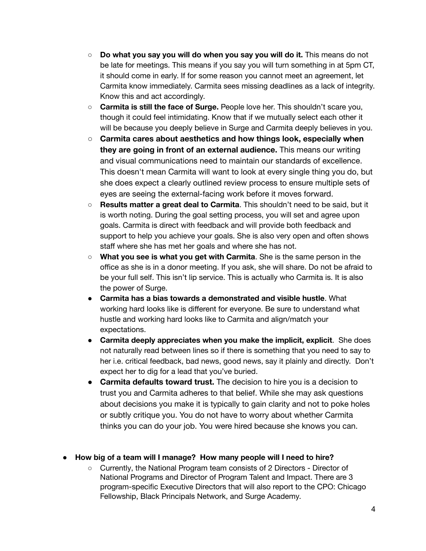- **○ Do what you say you will do when you say you will do it.** This means do not be late for meetings. This means if you say you will turn something in at 5pm CT, it should come in early. If for some reason you cannot meet an agreement, let Carmita know immediately. Carmita sees missing deadlines as a lack of integrity. Know this and act accordingly.
- **○ Carmita is still the face of Surge.** People love her. This shouldn't scare you, though it could feel intimidating. Know that if we mutually select each other it will be because you deeply believe in Surge and Carmita deeply believes in you.
- **Carmita cares about aesthetics and how things look, especially when they are going in front of an external audience.** This means our writing and visual communications need to maintain our standards of excellence. This doesn't mean Carmita will want to look at every single thing you do, but she does expect a clearly outlined review process to ensure multiple sets of eyes are seeing the external-facing work before it moves forward.
- **Results matter a great deal to Carmita**. This shouldn't need to be said, but it is worth noting. During the goal setting process, you will set and agree upon goals. Carmita is direct with feedback and will provide both feedback and support to help you achieve your goals. She is also very open and often shows staff where she has met her goals and where she has not.
- **What you see is what you get with Carmita**. She is the same person in the office as she is in a donor meeting. If you ask, she will share. Do not be afraid to be your full self. This isn't lip service. This is actually who Carmita is. It is also the power of Surge.
- **Carmita has a bias towards a demonstrated and visible hustle**. What working hard looks like is different for everyone. Be sure to understand what hustle and working hard looks like to Carmita and align/match your expectations.
- **Carmita deeply appreciates when you make the implicit, explicit**. She does not naturally read between lines so if there is something that you need to say to her i.e. critical feedback, bad news, good news, say it plainly and directly. Don't expect her to dig for a lead that you've buried.
- **Carmita defaults toward trust.** The decision to hire you is a decision to trust you and Carmita adheres to that belief. While she may ask questions about decisions you make it is typically to gain clarity and not to poke holes or subtly critique you. You do not have to worry about whether Carmita thinks you can do your job. You were hired because she knows you can.

# ● **How big of a team will I manage? How many people will I need to hire?**

○ Currently, the National Program team consists of 2 Directors - Director of National Programs and Director of Program Talent and Impact. There are 3 program-specific Executive Directors that will also report to the CPO: Chicago Fellowship, Black Principals Network, and Surge Academy.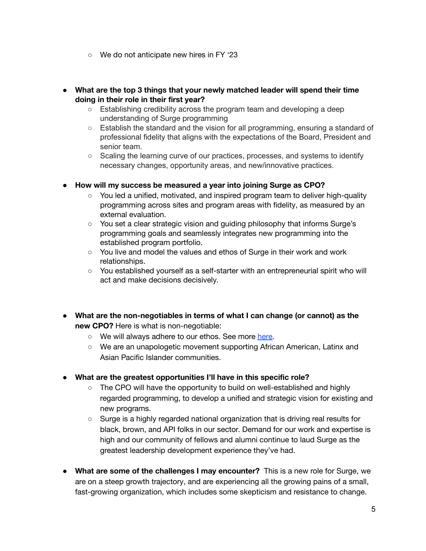- We do not anticipate new hires in FY '23
- **● What are the top 3 things that your newly matched leader will spend their time doing in their role in their first year?**
	- **○** Establishing credibility across the program team and developing a deep understanding of Surge programming
	- Establish the standard and the vision for all programming, ensuring a standard of professional fidelity that aligns with the expectations of the Board, President and senior team.
	- **○** Scaling the learning curve of our practices, processes, and systems to identify necessary changes, opportunity areas, and new/innovative practices.
- **● How will my success be measured a year into joining Surge as CPO?**
	- You led a unified, motivated, and inspired program team to deliver high-quality programming across sites and program areas with fidelity, as measured by an external evaluation.
	- You set a clear strategic vision and guiding philosophy that informs Surge's programming goals and seamlessly integrates new programming into the established program portfolio.
	- You live and model the values and ethos of Surge in their work and work relationships.
	- You established yourself as a self-starter with an entrepreneurial spirit who will act and make decisions decisively.
- **● What are the non-negotiables in terms of what I can change (or cannot) as the new CPO?** Here is what is non-negotiable:
	- We will always adhere to our ethos. See more [here.](https://drive.google.com/file/d/1Qq00tzc2OAdTmHrS7S3voW8DVALph_hT/view)
	- We are an unapologetic movement supporting African American, Latinx and Asian Pacific Islander communities.
- **● What are the greatest opportunities I'll have in this specific role?**
	- **○** The CPO will have the opportunity to build on well-established and highly regarded programming, to develop a unified and strategic vision for existing and new programs.
	- **○** Surge is a highly regarded national organization that is driving real results for black, brown, and API folks in our sector. Demand for our work and expertise is high and our community of fellows and alumni continue to laud Surge as the greatest leadership development experience they've had.
- **What are some of the challenges I may encounter?** This is a new role for Surge, we are on a steep growth trajectory, and are experiencing all the growing pains of a small, fast-growing organization, which includes some skepticism and resistance to change.